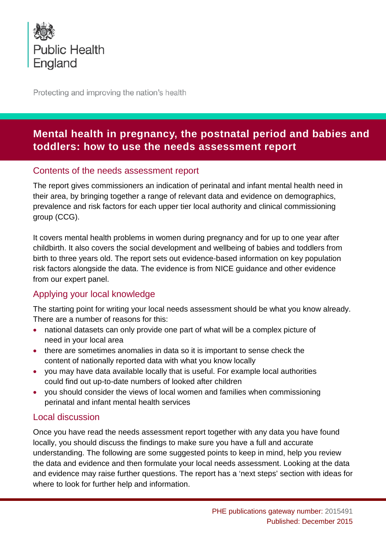

Protecting and improving the nation's health

# **Mental health in pregnancy, the postnatal period and babies and toddlers: how to use the needs assessment report**

### Contents of the needs assessment report

The report gives commissioners an indication of perinatal and infant mental health need in their area, by bringing together a range of relevant data and evidence on demographics, prevalence and risk factors for each upper tier local authority and clinical commissioning group (CCG).

It covers mental health problems in women during pregnancy and for up to one year after childbirth. It also covers the social development and wellbeing of babies and toddlers from birth to three years old. The report sets out evidence-based information on key population risk factors alongside the data. The evidence is from NICE guidance and other evidence from our expert panel.

# Applying your local knowledge

The starting point for writing your local needs assessment should be what you know already. There are a number of reasons for this:

- national datasets can only provide one part of what will be a complex picture of need in your local area
- there are sometimes anomalies in data so it is important to sense check the content of nationally reported data with what you know locally
- you may have data available locally that is useful. For example local authorities could find out up-to-date numbers of looked after children
- you should consider the views of local women and families when commissioning perinatal and infant mental health services

## Local discussion

Once you have read the needs assessment report together with any data you have found locally, you should discuss the findings to make sure you have a full and accurate understanding. The following are some suggested points to keep in mind, help you review the data and evidence and then formulate your local needs assessment. Looking at the data and evidence may raise further questions. The report has a 'next steps' section with ideas for where to look for further help and information.